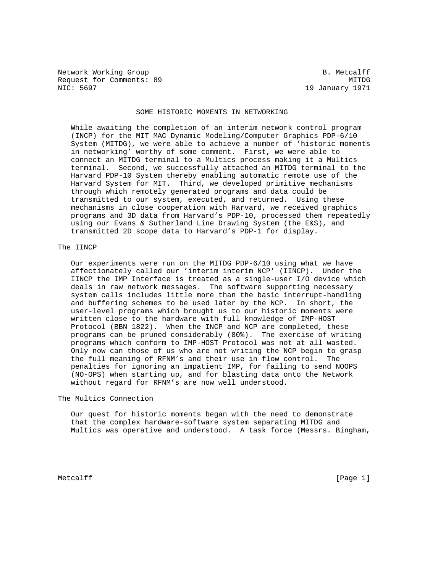Network Working Group and the set of the set of the B. Metcalff Request for Comments: 89 MITDG 1971 MITDG NIC: 5697 MITDG

19 January 1971

## SOME HISTORIC MOMENTS IN NETWORKING

 While awaiting the completion of an interim network control program (INCP) for the MIT MAC Dynamic Modeling/Computer Graphics PDP-6/10 System (MITDG), we were able to achieve a number of 'historic moments in networking' worthy of some comment. First, we were able to connect an MITDG terminal to a Multics process making it a Multics terminal. Second, we successfully attached an MITDG terminal to the Harvard PDP-10 System thereby enabling automatic remote use of the Harvard System for MIT. Third, we developed primitive mechanisms through which remotely generated programs and data could be transmitted to our system, executed, and returned. Using these mechanisms in close cooperation with Harvard, we received graphics programs and 3D data from Harvard's PDP-10, processed them repeatedly using our Evans & Sutherland Line Drawing System (the E&S), and transmitted 2D scope data to Harvard's PDP-1 for display.

## The IINCP

 Our experiments were run on the MITDG PDP-6/10 using what we have affectionately called our 'interim interim NCP' (IINCP). Under the IINCP the IMP Interface is treated as a single-user I/O device which deals in raw network messages. The software supporting necessary system calls includes little more than the basic interrupt-handling and buffering schemes to be used later by the NCP. In short, the user-level programs which brought us to our historic moments were written close to the hardware with full knowledge of IMP-HOST Protocol (BBN 1822). When the INCP and NCP are completed, these programs can be pruned considerably (80%). The exercise of writing programs which conform to IMP-HOST Protocol was not at all wasted. Only now can those of us who are not writing the NCP begin to grasp the full meaning of RFNM's and their use in flow control. The penalties for ignoring an impatient IMP, for failing to send NOOPS (NO-OPS) when starting up, and for blasting data onto the Network without regard for RFNM's are now well understood.

The Multics Connection

 Our quest for historic moments began with the need to demonstrate that the complex hardware-software system separating MITDG and Multics was operative and understood. A task force (Messrs. Bingham,

Metcalff [Page 1] [Page 1]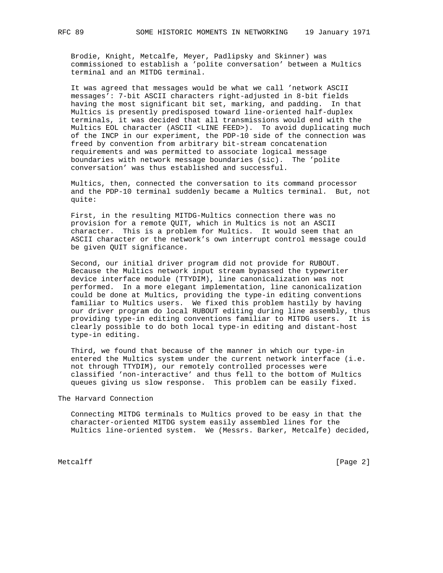Brodie, Knight, Metcalfe, Meyer, Padlipsky and Skinner) was commissioned to establish a 'polite conversation' between a Multics terminal and an MITDG terminal.

 It was agreed that messages would be what we call 'network ASCII messages': 7-bit ASCII characters right-adjusted in 8-bit fields having the most significant bit set, marking, and padding. In that Multics is presently predisposed toward line-oriented half-duplex terminals, it was decided that all transmissions would end with the Multics EOL character (ASCII <LINE FEED>). To avoid duplicating much of the INCP in our experiment, the PDP-10 side of the connection was freed by convention from arbitrary bit-stream concatenation requirements and was permitted to associate logical message boundaries with network message boundaries (sic). The 'polite conversation' was thus established and successful.

 Multics, then, connected the conversation to its command processor and the PDP-10 terminal suddenly became a Multics terminal. But, not quite:

 First, in the resulting MITDG-Multics connection there was no provision for a remote QUIT, which in Multics is not an ASCII character. This is a problem for Multics. It would seem that an ASCII character or the network's own interrupt control message could be given QUIT significance.

 Second, our initial driver program did not provide for RUBOUT. Because the Multics network input stream bypassed the typewriter device interface module (TTYDIM), line canonicalization was not performed. In a more elegant implementation, line canonicalization could be done at Multics, providing the type-in editing conventions familiar to Multics users. We fixed this problem hastily by having our driver program do local RUBOUT editing during line assembly, thus providing type-in editing conventions familiar to MITDG users. It is clearly possible to do both local type-in editing and distant-host type-in editing.

 Third, we found that because of the manner in which our type-in entered the Multics system under the current network interface (i.e. not through TTYDIM), our remotely controlled processes were classified 'non-interactive' and thus fell to the bottom of Multics queues giving us slow response. This problem can be easily fixed.

The Harvard Connection

 Connecting MITDG terminals to Multics proved to be easy in that the character-oriented MITDG system easily assembled lines for the Multics line-oriented system. We (Messrs. Barker, Metcalfe) decided,

Metcalff [Page 2]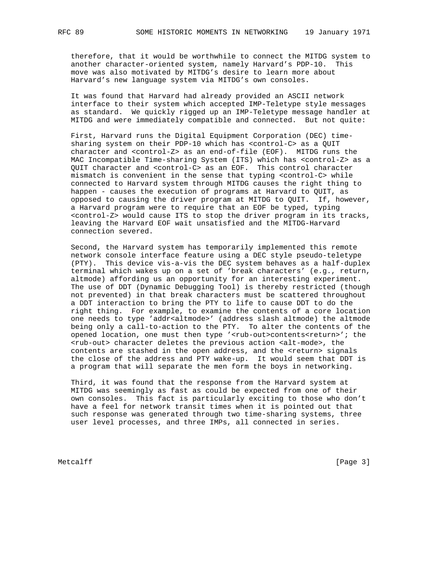therefore, that it would be worthwhile to connect the MITDG system to another character-oriented system, namely Harvard's PDP-10. This move was also motivated by MITDG's desire to learn more about Harvard's new language system via MITDG's own consoles.

 It was found that Harvard had already provided an ASCII network interface to their system which accepted IMP-Teletype style messages as standard. We quickly rigged up an IMP-Teletype message handler at MITDG and were immediately compatible and connected. But not quite:

 First, Harvard runs the Digital Equipment Corporation (DEC) time sharing system on their PDP-10 which has <control-C> as a QUIT character and <control-Z> as an end-of-file (EOF). MITDG runs the MAC Incompatible Time-sharing System (ITS) which has <control-Z> as a QUIT character and <control-C> as an EOF. This control character mismatch is convenient in the sense that typing <control-C> while connected to Harvard system through MITDG causes the right thing to happen - causes the execution of programs at Harvard to QUIT, as opposed to causing the driver program at MITDG to QUIT. If, however, a Harvard program were to require that an EOF be typed, typing <control-Z> would cause ITS to stop the driver program in its tracks, leaving the Harvard EOF wait unsatisfied and the MITDG-Harvard connection severed.

 Second, the Harvard system has temporarily implemented this remote network console interface feature using a DEC style pseudo-teletype (PTY). This device vis-a-vis the DEC system behaves as a half-duplex terminal which wakes up on a set of 'break characters' (e.g., return, altmode) affording us an opportunity for an interesting experiment. The use of DDT (Dynamic Debugging Tool) is thereby restricted (though not prevented) in that break characters must be scattered throughout a DDT interaction to bring the PTY to life to cause DDT to do the right thing. For example, to examine the contents of a core location one needs to type 'addr<altmode>' (address slash altmode) the altmode being only a call-to-action to the PTY. To alter the contents of the opened location, one must then type '<rub-out>contents<return>'; the <rub-out> character deletes the previous action <alt-mode>, the contents are stashed in the open address, and the <return> signals the close of the address and PTY wake-up. It would seem that DDT is a program that will separate the men form the boys in networking.

 Third, it was found that the response from the Harvard system at MITDG was seemingly as fast as could be expected from one of their own consoles. This fact is particularly exciting to those who don't have a feel for network transit times when it is pointed out that such response was generated through two time-sharing systems, three user level processes, and three IMPs, all connected in series.

Metcalff [Page 3]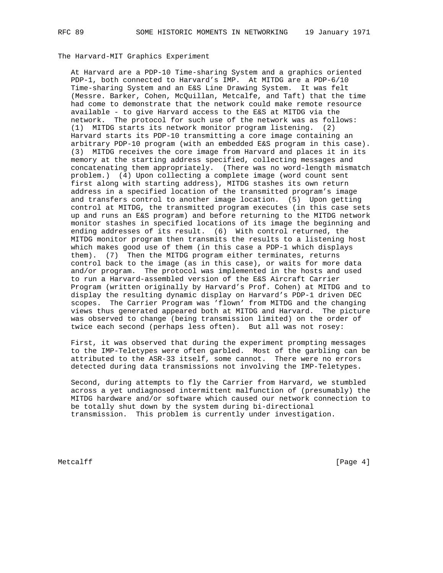## The Harvard-MIT Graphics Experiment

 At Harvard are a PDP-10 Time-sharing System and a graphics oriented PDP-1, both connected to Harvard's IMP. At MITDG are a PDP-6/10 Time-sharing System and an E&S Line Drawing System. It was felt (Messre. Barker, Cohen, McQuillan, Metcalfe, and Taft) that the time had come to demonstrate that the network could make remote resource available - to give Harvard access to the E&S at MITDG via the network. The protocol for such use of the network was as follows: (1) MITDG starts its network monitor program listening. (2) Harvard starts its PDP-10 transmitting a core image containing an arbitrary PDP-10 program (with an embedded E&S program in this case). (3) MITDG receives the core image from Harvard and places it in its memory at the starting address specified, collecting messages and concatenating them appropriately. (There was no word-length mismatch problem.) (4) Upon collecting a complete image (word count sent first along with starting address), MITDG stashes its own return address in a specified location of the transmitted program's image and transfers control to another image location. (5) Upon getting control at MITDG, the transmitted program executes (in this case sets up and runs an E&S program) and before returning to the MITDG network monitor stashes in specified locations of its image the beginning and ending addresses of its result. (6) With control returned, the MITDG monitor program then transmits the results to a listening host which makes good use of them (in this case a PDP-1 which displays them). (7) Then the MITDG program either terminates, returns control back to the image (as in this case), or waits for more data and/or program. The protocol was implemented in the hosts and used to run a Harvard-assembled version of the E&S Aircraft Carrier Program (written originally by Harvard's Prof. Cohen) at MITDG and to display the resulting dynamic display on Harvard's PDP-1 driven DEC scopes. The Carrier Program was 'flown' from MITDG and the changing views thus generated appeared both at MITDG and Harvard. The picture was observed to change (being transmission limited) on the order of twice each second (perhaps less often). But all was not rosey:

 First, it was observed that during the experiment prompting messages to the IMP-Teletypes were often garbled. Most of the garbling can be attributed to the ASR-33 itself, some cannot. There were no errors detected during data transmissions not involving the IMP-Teletypes.

 Second, during attempts to fly the Carrier from Harvard, we stumbled across a yet undiagnosed intermittent malfunction of (presumably) the MITDG hardware and/or software which caused our network connection to be totally shut down by the system during bi-directional transmission. This problem is currently under investigation.

Metcalff [Page 4] [Page 4]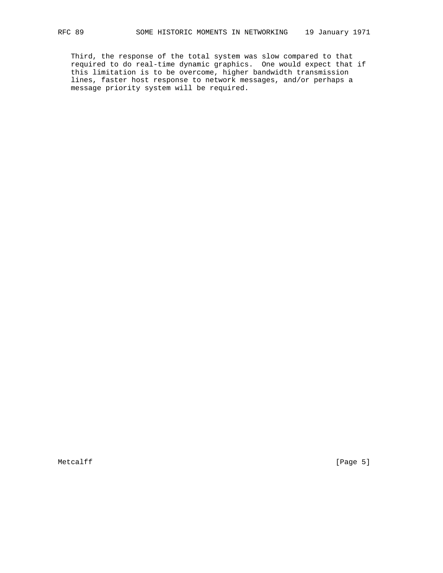Third, the response of the total system was slow compared to that required to do real-time dynamic graphics. One would expect that if this limitation is to be overcome, higher bandwidth transmission lines, faster host response to network messages, and/or perhaps a message priority system will be required.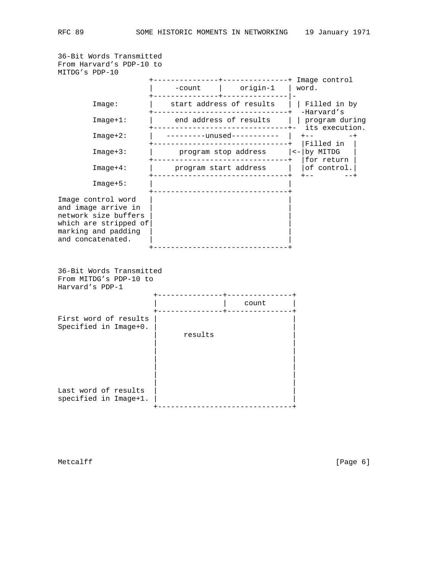```
36-Bit Words Transmitted
From Harvard's PDP-10 to
MITDG's PDP-10
                +---------------+---------------+ Image control
                | -count | origin-1 | word.
                +---------------+---------------|-
      Image: | start address of results | | Filled in by
       +-------------------------------+ -Harvard's
              | end address of results | | program during
       +-------------------------------+- its execution.
               Image+2: | ---------unused----------- | +-- -+
       +-------------------------------+ |Filled in |
                   \frac{1}{2} program stop address | <-| by MITDG
 +-------------------------------+ |for return |
Image+4: | program start address | |of control.|
 +-------------------------------+ +-- --+
     Image+5: +-------------------------------+
Image control word
and image arrive in | |
network size buffers
which are stripped of
marking and padding
and concatenated.
                +-------------------------------+
36-Bit Words Transmitted
From MITDG's PDP-10 to
Harvard's PDP-1
                 +---------------+---------------+
                            | | count |
                 +---------------+---------------+
First word of results | |
Specified in Image+0.
                    results
 | |
 | |
 | |
 | |
 | |
 | |
Last word of results
specified in Image+1. | |
                   +-------------------------------+
```
Metcalff [Page 6]